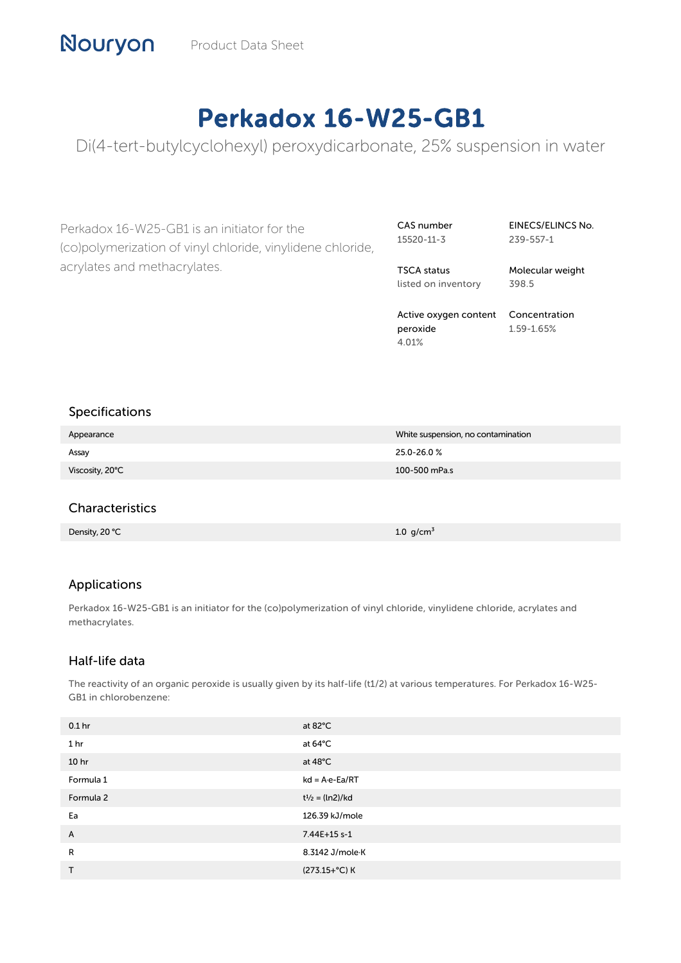# Perkadox 16-W25-GB1

Di(4-tert-butylcyclohexyl) peroxydicarbonate, 25% suspension in water

Perkadox 16-W25-GB1 is an initiator for the (co)polymerization of vinyl chloride, vinylidene chloride, acrylates and methacrylates.

CAS number 15520-11-3

EINECS/ELINCS No. 239-557-1

TSCA status listed on inventory Molecular weight 398.5

Active oxygen content Concentration peroxide 4.01% 1.59-1.65%

# Specifications

| Appearance      | White suspension, no contamination |
|-----------------|------------------------------------|
| Assay           | 25.0-26.0%                         |
| Viscosity, 20°C | 100-500 mPa.s                      |

# **Characteristics**

Density, 20 ℃ 1.0 g/cm³ and 20 minutes are the control of the control of the control of the control of the control of the control of the control of the control of the control of the control of the control of the control o

# Applications

Perkadox 16-W25-GB1 is an initiator for the (co)polymerization of vinyl chloride, vinylidene chloride, acrylates and methacrylates.

# Half-life data

The reactivity of an organic peroxide is usually given by its half-life (t1/2) at various temperatures. For Perkadox 16-W25- GB1 in chlorobenzene:

| 0.1 <sub>hr</sub> | at 82°C                  |
|-------------------|--------------------------|
| 1 <sub>hr</sub>   | at 64°C                  |
| 10 <sub>hr</sub>  | at $48^{\circ}$ C        |
| Formula 1         | $kd = A \cdot e - Ea/RT$ |
| Formula 2         | $t^{1/2} = (ln2)/kd$     |
| Ea                | 126.39 kJ/mole           |
| A                 | 7.44E+15 s-1             |
| R                 | 8.3142 J/mole K          |
| $\mathsf{T}$      | (273.15+°C) K            |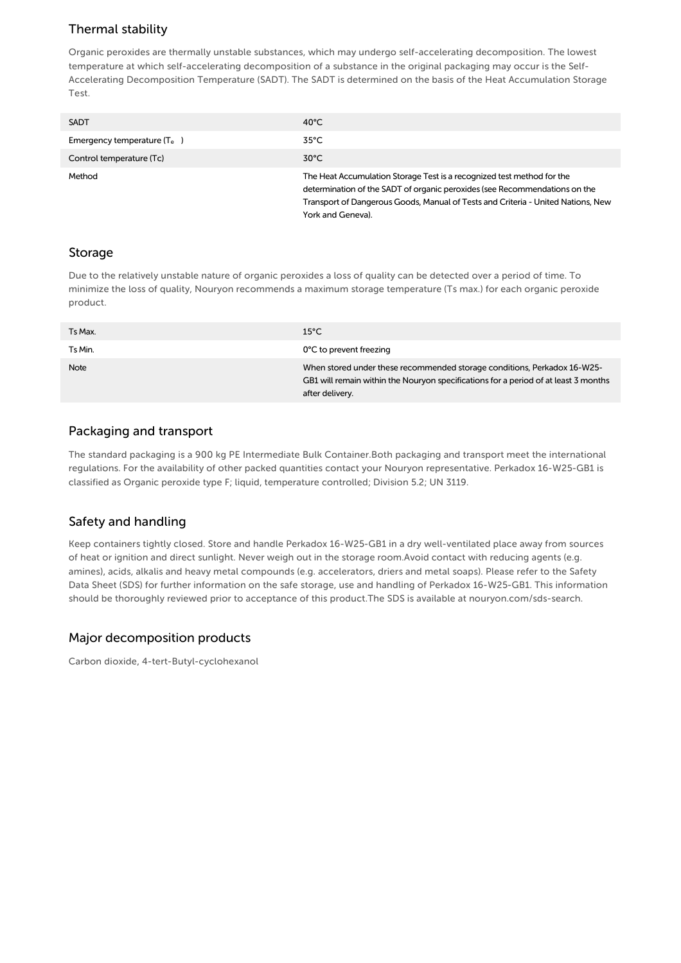# Thermal stability

Organic peroxides are thermally unstable substances, which may undergo self-accelerating decomposition. The lowest temperature at which self-accelerating decomposition of a substance in the original packaging may occur is the Self-Accelerating Decomposition Temperature (SADT). The SADT is determined on the basis of the Heat Accumulation Storage Test.

| <b>SADT</b>                   | $40^{\circ}$ C                                                                                                                                                                                                                                                |
|-------------------------------|---------------------------------------------------------------------------------------------------------------------------------------------------------------------------------------------------------------------------------------------------------------|
| Emergency temperature $(T_e)$ | $35^{\circ}$ C                                                                                                                                                                                                                                                |
| Control temperature (Tc)      | $30^{\circ}$ C                                                                                                                                                                                                                                                |
| Method                        | The Heat Accumulation Storage Test is a recognized test method for the<br>determination of the SADT of organic peroxides (see Recommendations on the<br>Transport of Dangerous Goods, Manual of Tests and Criteria - United Nations, New<br>York and Geneva). |

#### Storage

Due to the relatively unstable nature of organic peroxides a loss of quality can be detected over a period of time. To minimize the loss of quality, Nouryon recommends a maximum storage temperature (Ts max.) for each organic peroxide product.

| Ts Max. | $15^{\circ}$ C                                                                                                                                                                     |
|---------|------------------------------------------------------------------------------------------------------------------------------------------------------------------------------------|
| Ts Min. | 0°C to prevent freezing                                                                                                                                                            |
| Note    | When stored under these recommended storage conditions, Perkadox 16-W25-<br>GB1 will remain within the Nouryon specifications for a period of at least 3 months<br>after delivery. |

# Packaging and transport

The standard packaging is a 900 kg PE Intermediate Bulk Container.Both packaging and transport meet the international regulations. For the availability of other packed quantities contact your Nouryon representative. Perkadox 16-W25-GB1 is classified as Organic peroxide type F; liquid, temperature controlled; Division 5.2; UN 3119.

# Safety and handling

Keep containers tightly closed. Store and handle Perkadox 16-W25-GB1 in a dry well-ventilated place away from sources of heat or ignition and direct sunlight. Never weigh out in the storage room.Avoid contact with reducing agents (e.g. amines), acids, alkalis and heavy metal compounds (e.g. accelerators, driers and metal soaps). Please refer to the Safety Data Sheet (SDS) for further information on the safe storage, use and handling of Perkadox 16-W25-GB1. This information should be thoroughly reviewed prior to acceptance of this product.The SDS is available at nouryon.com/sds-search.

# Major decomposition products

Carbon dioxide, 4-tert-Butyl-cyclohexanol